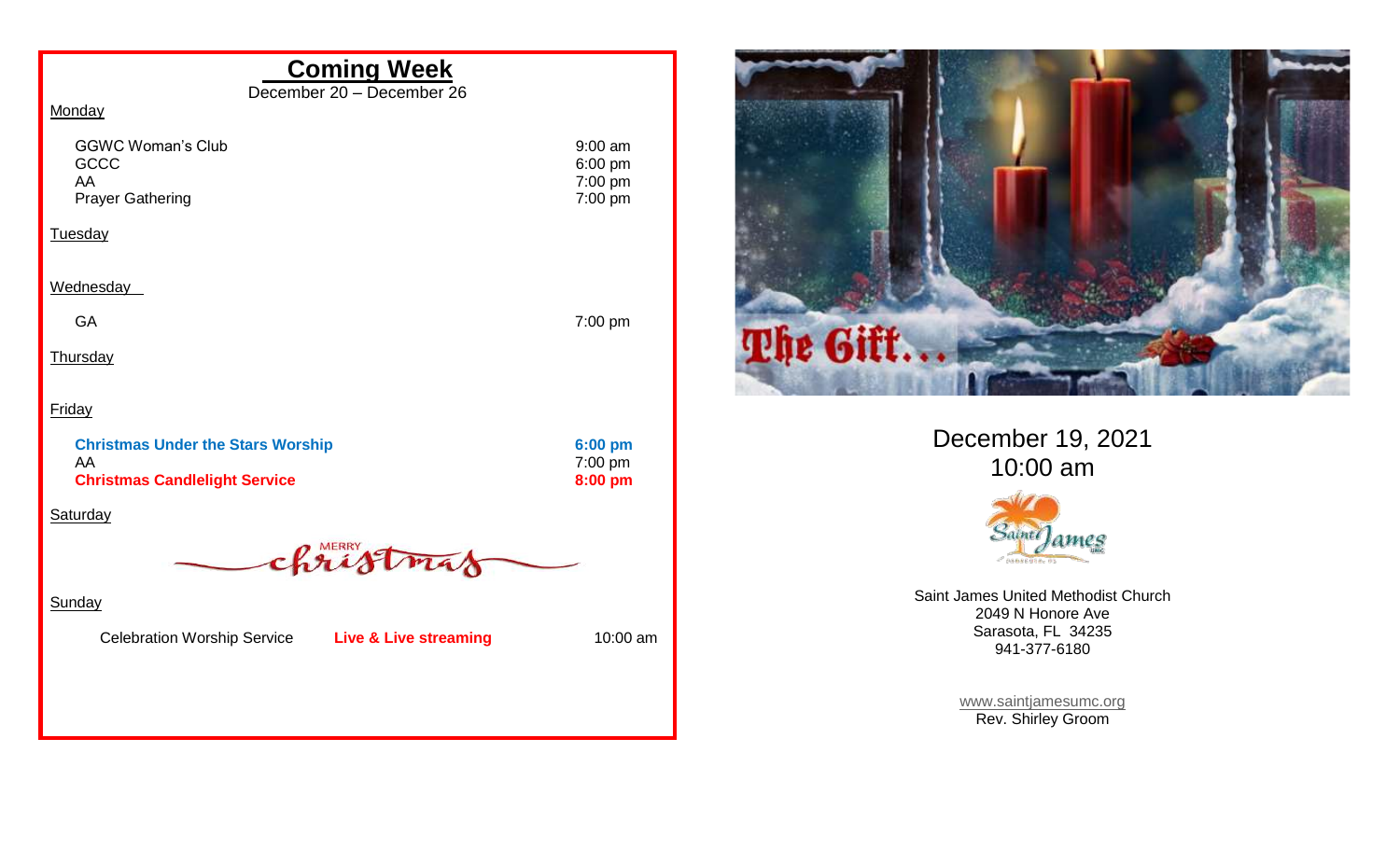## **Coming Week**

December 20 – December 26

## **Monday**

| <b>GGWC Woman's Club</b><br><b>GCCC</b> | 9:00 am<br>$6:00$ pm |
|-----------------------------------------|----------------------|
| AA                                      | $7:00 \text{ pm}$    |
| <b>Prayer Gathering</b>                 | $7:00 \text{ pm}$    |
| <b>Tuesday</b>                          |                      |

Wednesday

GA 7:00 pm

**Thursday** 

**Friday** 

| <b>Christmas Under the Stars Worship</b> | $6:00$ pm |
|------------------------------------------|-----------|
| AA                                       | 7:00 pm   |
| <b>Christmas Candlelight Service</b>     | $8:00$ pm |

**Saturday** 

christmas

**Sunday** 

Celebration Worship Service **Live & Live streaming** 10:00 am



December 19, 2021 10:00 am



Saint James United Methodist Church 2049 N Honore Ave Sarasota, FL 34235 941-377-6180

> [www.saintjamesumc.org](http://www.saintjamesumc.org/) Rev. Shirley Groom